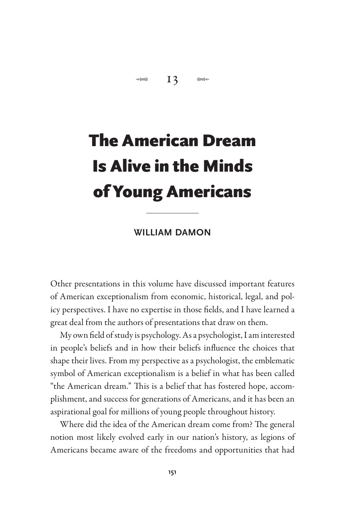$\leftarrow$  $13 \qquad \Leftrightarrow$ 

# The American Dream Is Alive in the Minds of Young Americans

**WILLIAM DAMON**

Other presentations in this volume have discussed important features of American exceptionalism from economic, historical, legal, and policy perspectives. I have no expertise in those fields, and I have learned a great deal from the authors of presentations that draw on them.

My own field of study is psychology. As a psychologist, I am interested in people's beliefs and in how their beliefs influence the choices that shape their lives. From my perspective as a psychologist, the emblematic symbol of American exceptionalism is a belief in what has been called "the American dream." This is a belief that has fostered hope, accomplishment, and success for generations of Americans, and it has been an aspirational goal for millions of young people throughout history.

Where did the idea of the American dream come from? The general notion most likely evolved early in our nation's history, as legions of Americans became aware of the freedoms and opportunities that had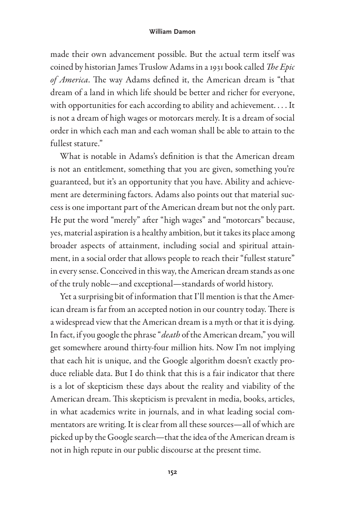made their own advancement possible. But the actual term itself was coined by historian James Truslow Adams in a 1931 book called *The Epic* of America. The way Adams defined it, the American dream is "that dream of a land in which life should be better and richer for everyone, with opportunities for each according to ability and achievement. . . . It is not a dream of high wages or motorcars merely. It is a dream of social order in which each man and each woman shall be able to attain to the fullest stature."

What is notable in Adams's definition is that the American dream is not an entitlement, something that you are given, something you're guaranteed, but it's an opportunity that you have. Ability and achievement are determining factors. Adams also points out that material success is one important part of the American dream but not the only part. He put the word "merely" after "high wages" and "motorcars" because, yes, material aspiration is a healthy ambition, but it takes its place among broader aspects of attainment, including social and spiritual attainment, in a social order that allows people to reach their "fullest stature" in every sense. Conceived in this way, the American dream stands as one of the truly noble—and exceptional—standards of world history.

Yet a surprising bit of information that I'll mention is that the American dream is far from an accepted notion in our country today. There is a widespread view that the American dream is a myth or that it is dying. In fact, if you google the phrase "*death* of the American dream," you will get somewhere around thirty-four million hits. Now I'm not implying that each hit is unique, and the Google algorithm doesn't exactly produce reliable data. But I do think that this is a fair indicator that there is a lot of skepticism these days about the reality and viability of the American dream. This skepticism is prevalent in media, books, articles, in what academics write in journals, and in what leading social commentators are writing. It is clear from all these sources—all of which are picked up by the Google search—that the idea of the American dream is not in high repute in our public discourse at the present time.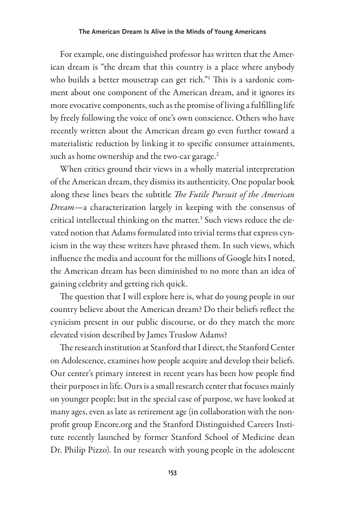# **The American Dream Is Alive in the Minds of Young Americans**

For example, one distinguished professor has written that the American dream is "the dream that this country is a place where anybody who builds a better mousetrap can get rich."<sup>1</sup> This is a sardonic comment about one component of the American dream, and it ignores its more evocative components, such as the promise of living a fulfilling life by freely following the voice of one's own conscience. Others who have recently written about the American dream go even further toward a materialistic reduction by linking it to specific consumer attainments, such as home ownership and the two-car garage.<sup>2</sup>

When critics ground their views in a wholly material interpretation of the American dream, they dismiss its authenticity. One popular book along these lines bears the subtitle *The Futile Pursuit of the American Dream*—a characterization largely in keeping with the consensus of critical intellectual thinking on the matter.<sup>3</sup> Such views reduce the elevated notion that Adams formulated into trivial terms that express cynicism in the way these writers have phrased them. In such views, which influence the media and account for the millions of Google hits I noted, the American dream has been diminished to no more than an idea of gaining celebrity and getting rich quick.

The question that I will explore here is, what do young people in our country believe about the American dream? Do their beliefs reflect the cynicism present in our public discourse, or do they match the more elevated vision described by James Truslow Adams?

The research institution at Stanford that I direct, the Stanford Center on Adolescence, examines how people acquire and develop their beliefs. Our center's primary interest in recent years has been how people find their purposes in life. Ours is a small research center that focuses mainly on younger people; but in the special case of purpose, we have looked at many ages, even as late as retirement age (in collaboration with the nonprofit group Encore.org and the Stanford Distinguished Careers Institute recently launched by former Stanford School of Medicine dean Dr. Philip Pizzo). In our research with young people in the adolescent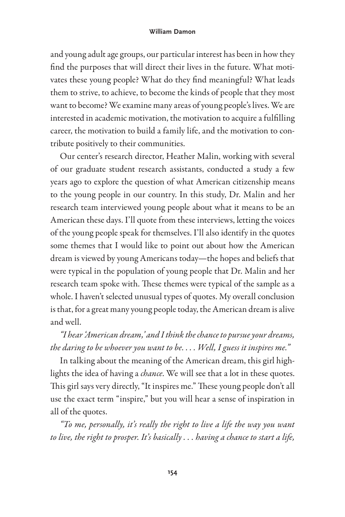and young adult age groups, our particular interest has been in how they find the purposes that will direct their lives in the future. What motivates these young people? What do they find meaningful? What leads them to strive, to achieve, to become the kinds of people that they most want to become? We examine many areas of young people's lives. We are interested in academic motivation, the motivation to acquire a fulfilling career, the motivation to build a family life, and the motivation to contribute positively to their communities.

Our center's research director, Heather Malin, working with several of our graduate student research assistants, conducted a study a few years ago to explore the question of what American citizenship means to the young people in our country. In this study, Dr. Malin and her research team interviewed young people about what it means to be an American these days. I'll quote from these interviews, letting the voices of the young people speak for themselves. I'll also identify in the quotes some themes that I would like to point out about how the American dream is viewed by young Americans today—the hopes and beliefs that were typical in the population of young people that Dr. Malin and her research team spoke with. These themes were typical of the sample as a whole. I haven't selected unusual types of quotes. My overall conclusion is that, for a great many young people today, the American dream is alive and well.

# *"I hear 'American dream,' and I think the chance to pursue your dreams, the daring to be whoever you want to be. . . . Well, I guess it inspires me."*

In talking about the meaning of the American dream, this girl highlights the idea of having a *chance*. We will see that a lot in these quotes. This girl says very directly, "It inspires me." These young people don't all use the exact term "inspire," but you will hear a sense of inspiration in all of the quotes.

*"To me, personally, it's really the right to live a life the way you want to live, the right to prosper. It's basically . . . having a chance to start a life,*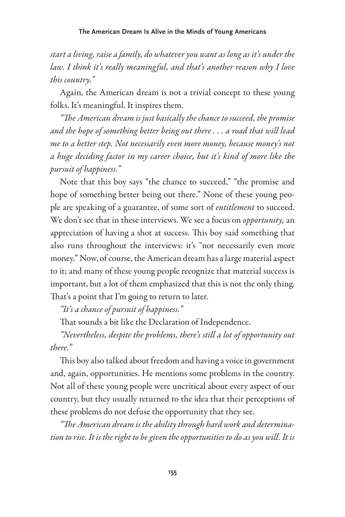*start a living, raise a family, do whatever you want as long as it's under the law. I think it's really meaningful, and that's another reason why I love this country."*

Again, the American dream is not a trivial concept to these young folks. It's meaningful. It inspires them.

"The American dream is just basically the chance to succeed, the promise *and the hope of something better being out there . . . a road that will lead me to a better step. Not necessarily even more money, because money's not a huge deciding factor in my career choice, but it's kind of more like the pursuit of happiness."*

Note that this boy says "the chance to succeed," "the promise and hope of something better being out there." None of these young people are speaking of a guarantee, of some sort of *entitlement* to succeed. We don't see that in these interviews. We see a focus on *opportunity,* an appreciation of having a shot at success. This boy said something that also runs throughout the interviews: it's "not necessarily even more money." Now, of course, the American dream has a large material aspect to it; and many of these young people recognize that material success is important, but a lot of them emphasized that this is not the only thing. That's a point that I'm going to return to later.

*"It's a chance of pursuit of happiness."*

That sounds a bit like the Declaration of Independence.

*"Nevertheless, despite the problems, there's still a lot of opportunity out there."*

This boy also talked about freedom and having a voice in government and, again, opportunities. He mentions some problems in the country. Not all of these young people were uncritical about every aspect of our country, but they usually returned to the idea that their perceptions of these problems do not defuse the opportunity that they see.

"The American dream is the ability through hard work and determina*tion to rise. It is the right to be given the opportunities to do as you will. It is*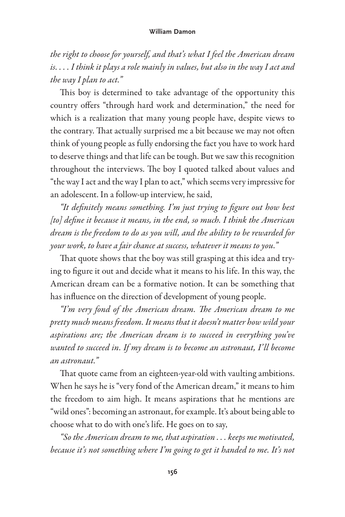*the right to choose for yourself, and that's what I feel the American dream is. . . . I think it plays a role mainly in values, but also in the way I act and the way I plan to act."*

This boy is determined to take advantage of the opportunity this country offers "through hard work and determination," the need for which is a realization that many young people have, despite views to the contrary. That actually surprised me a bit because we may not often think of young people as fully endorsing the fact you have to work hard to deserve things and that life can be tough. But we saw this recognition throughout the interviews. The boy I quoted talked about values and "the way I act and the way I plan to act," which seems very impressive for an adolescent. In a follow-up interview, he said,

"It definitely means something. I'm just trying to figure out how best [to] define it because it means, in the end, so much. I think the American *dream is the fr eedom to do as you will, and the ability to be rewarded for your work, to have a fair chance at success, whatever it means to you."*

That quote shows that the boy was still grasping at this idea and trying to figure it out and decide what it means to his life. In this way, the American dream can be a formative notion. It can be something that has influence on the direction of development of young people.

"I'm very fond of the American dream. The American dream to me pretty much means freedom. It means that it doesn't matter how wild your *aspirations are; the American dream is to succeed in everything you've wanted to succeed in. If my dream is to become an astronaut, I' ll become an astronaut."*

That quote came from an eighteen-year-old with vaulting ambitions. When he says he is "very fond of the American dream," it means to him the freedom to aim high. It means aspirations that he mentions are "wild ones": becoming an astronaut, for example. It's about being able to choose what to do with one's life. He goes on to say,

*"So the American dream to me, that aspiration . . . keeps me motivated, because it's not something where I'm going to get it handed to me. It's not*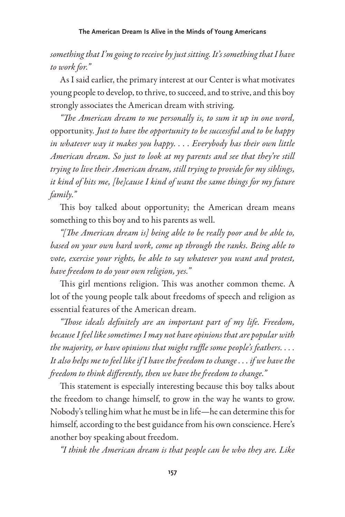*something that I'm going to receive by just sitting. It's something that I have to work for."*

As I said earlier, the primary interest at our Center is what motivates young people to develop, to thrive, to succeed, and to strive, and this boy strongly associates the American dream with striving.

"The American dream to me personally is, to sum it up in one word, opportunity*. Just to have the opportunity to be successful and to be happy in whatever way it makes you happy. . . . Everybody has their own little American dream. So just to look at my parents and see that they're still trying to live their American dream, still trying to provide for my siblings, it kind of hits me, [be]cause I kind of want the same things for my future family."*

This boy talked about opportunity; the American dream means something to this boy and to his parents as well.

"[The American dream is] being able to be really poor and be able to, *based on your own hard work, come up through the ranks. Being able to vote, exercise your rights, be able to say whatever you want and protest, have fr eedom to do your own religion, yes."*

This girl mentions religion. This was another common theme. A lot of the young people talk about freedoms of speech and religion as essential features of the American dream.

*"Th ose ideals defi nitely are an important part of my life. Freedom, because I feel like sometimes I may not have opinions that are popular with*  the majority, or have opinions that might ruffle some people's feathers.... It also helps me to feel like if I have the freedom to change . . . if we have the *fr eedom to think diff erently, then we have the fr eedom to change."*

This statement is especially interesting because this boy talks about the freedom to change himself, to grow in the way he wants to grow. Nobody's telling him what he must be in life—he can determine this for himself, according to the best guidance from his own conscience. Here's another boy speaking about freedom.

*"I think the American dream is that people can be who they are. Like*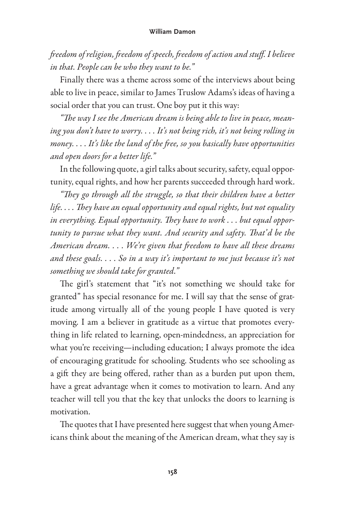*fr eedom of religion, fr eedom of speech, fr eedom of action and stuff . I believe in that. People can be who they want to be."*

Finally there was a theme across some of the interviews about being able to live in peace, similar to James Truslow Adams's ideas of having a social order that you can trust. One boy put it this way:

"The way I see the American dream is being able to live in peace, mean*ing you don't have to worry. . . . It's not being rich, it's not being rolling in money.... It's like the land of the free, so you basically have opportunities and open doors for a better life."*

In the following quote, a girl talks about security, safety, equal opportunity, equal rights, and how her parents succeeded through hard work.

*"Th ey go through all the struggle, so that their children have a better*  life.... They have an equal opportunity and equal rights, but not equality in everything. Equal opportunity. They have to work . . . but equal opportunity to pursue what they want. And security and safety. That'd be the *American dream.... We're given that freedom to have all these dreams and these goals. . . . So in a way it's important to me just because it's not something we should take for granted."*

The girl's statement that "it's not something we should take for granted" has special resonance for me. I will say that the sense of gratitude among virtually all of the young people I have quoted is very moving. I am a believer in gratitude as a virtue that promotes everything in life related to learning, open- mindedness, an appreciation for what you're receiving—including education; I always promote the idea of encouraging gratitude for schooling. Students who see schooling as a gift they are being offered, rather than as a burden put upon them, have a great advantage when it comes to motivation to learn. And any teacher will tell you that the key that unlocks the doors to learning is motivation.

The quotes that I have presented here suggest that when young Americans think about the meaning of the American dream, what they say is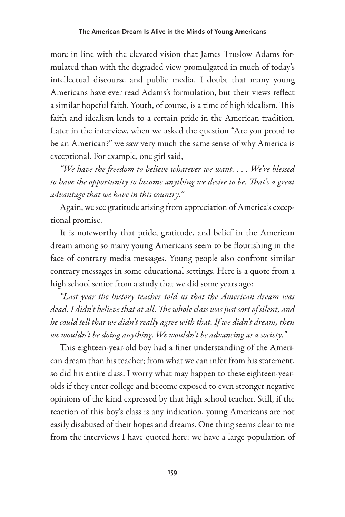# **The American Dream Is Alive in the Minds of Young Americans**

more in line with the elevated vision that James Truslow Adams formulated than with the degraded view promulgated in much of today's intellectual discourse and public media. I doubt that many young Americans have ever read Adams's formulation, but their views reflect a similar hopeful faith. Youth, of course, is a time of high idealism. This faith and idealism lends to a certain pride in the American tradition. Later in the interview, when we asked the question "Are you proud to be an American?" we saw very much the same sense of why America is exceptional. For example, one girl said,

"We have the freedom to believe whatever we want.... We're blessed to have the opportunity to become anything we desire to be. That's a great *advantage that we have in this country."*

Again, we see gratitude arising from appreciation of America's exceptional promise.

It is noteworthy that pride, gratitude, and belief in the American dream among so many young Americans seem to be flourishing in the face of contrary media messages. Young people also confront similar contrary messages in some educational settings. Here is a quote from a high school senior from a study that we did some years ago:

*"Last year the history teacher told us that the American dream was*  dead. I didn't believe that at all. The whole class was just sort of silent, and *he could tell that we didn't really agree with that. If we didn't dream, then we wouldn't be doing anything. We wouldn't be advancing as a society."*

This eighteen-year-old boy had a finer understanding of the American dream than his teacher; from what we can infer from his statement, so did his entire class. I worry what may happen to these eighteen-yearolds if they enter college and become exposed to even stronger negative opinions of the kind expressed by that high school teacher. Still, if the reaction of this boy's class is any indication, young Americans are not easily disabused of their hopes and dreams. One thing seems clear to me from the interviews I have quoted here: we have a large population of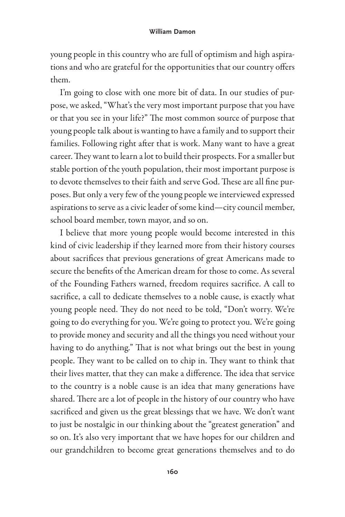young people in this country who are full of optimism and high aspirations and who are grateful for the opportunities that our country offers them.

I'm going to close with one more bit of data. In our studies of purpose, we asked, "What's the very most important purpose that you have or that you see in your life?" The most common source of purpose that young people talk about is wanting to have a family and to support their families. Following right after that is work. Many want to have a great career. They want to learn a lot to build their prospects. For a smaller but stable portion of the youth population, their most important purpose is to devote themselves to their faith and serve God. These are all fine purposes. But only a very few of the young people we interviewed expressed aspirations to serve as a civic leader of some kind—city council member, school board member, town mayor, and so on.

I believe that more young people would become interested in this kind of civic leadership if they learned more from their history courses about sacrifices that previous generations of great Americans made to secure the benefits of the American dream for those to come. As several of the Founding Fathers warned, freedom requires sacrifice. A call to sacrifice, a call to dedicate themselves to a noble cause, is exactly what young people need. They do not need to be told, "Don't worry. We're going to do everything for you. We're going to protect you. We're going to provide money and security and all the things you need without your having to do anything." That is not what brings out the best in young people. They want to be called on to chip in. They want to think that their lives matter, that they can make a difference. The idea that service to the country is a noble cause is an idea that many generations have shared. There are a lot of people in the history of our country who have sacrificed and given us the great blessings that we have. We don't want to just be nostalgic in our thinking about the "greatest generation" and so on. It's also very important that we have hopes for our children and our grandchildren to become great generations themselves and to do